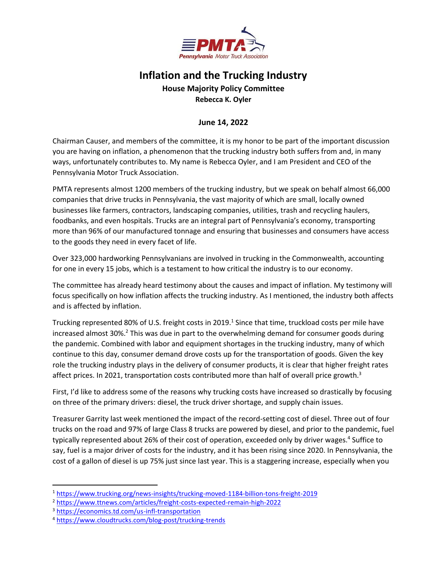

## **Inflation and the Trucking Industry**

## **House Majority Policy Committee Rebecca K. Oyler**

## **June 14, 2022**

Chairman Causer, and members of the committee, it is my honor to be part of the important discussion you are having on inflation, a phenomenon that the trucking industry both suffers from and, in many ways, unfortunately contributes to. My name is Rebecca Oyler, and I am President and CEO of the Pennsylvania Motor Truck Association.

PMTA represents almost 1200 members of the trucking industry, but we speak on behalf almost 66,000 companies that drive trucks in Pennsylvania, the vast majority of which are small, locally owned businesses like farmers, contractors, landscaping companies, utilities, trash and recycling haulers, foodbanks, and even hospitals. Trucks are an integral part of Pennsylvania's economy, transporting more than 96% of our manufactured tonnage and ensuring that businesses and consumers have access to the goods they need in every facet of life.

Over 323,000 hardworking Pennsylvanians are involved in trucking in the Commonwealth, accounting for one in every 15 jobs, which is a testament to how critical the industry is to our economy.

The committee has already heard testimony about the causes and impact of inflation. My testimony will focus specifically on how inflation affects the trucking industry. As I mentioned, the industry both affects and is affected by inflation.

Trucking represented 80% of U.S. freight costs in 2019.<sup>1</sup> Since that time, truckload costs per mile have increased almost 30%.<sup>2</sup> This was due in part to the overwhelming demand for consumer goods during the pandemic. Combined with labor and equipment shortages in the trucking industry, many of which continue to this day, consumer demand drove costs up for the transportation of goods. Given the key role the trucking industry plays in the delivery of consumer products, it is clear that higher freight rates affect prices. In 2021, transportation costs contributed more than half of overall price growth.<sup>3</sup>

First, I'd like to address some of the reasons why trucking costs have increased so drastically by focusing on three of the primary drivers: diesel, the truck driver shortage, and supply chain issues.

Treasurer Garrity last week mentioned the impact of the record-setting cost of diesel. Three out of four trucks on the road and 97% of large Class 8 trucks are powered by diesel, and prior to the pandemic, fuel typically represented about 26% of their cost of operation, exceeded only by driver wages.<sup>4</sup> Suffice to say, fuel is a major driver of costs for the industry, and it has been rising since 2020. In Pennsylvania, the cost of a gallon of diesel is up 75% just since last year. This is a staggering increase, especially when you

<sup>1</sup> <https://www.trucking.org/news-insights/trucking-moved-1184-billion-tons-freight-2019>

<sup>2</sup> <https://www.ttnews.com/articles/freight-costs-expected-remain-high-2022>

<sup>3</sup> <https://economics.td.com/us-infl-transportation>

<sup>4</sup> <https://www.cloudtrucks.com/blog-post/trucking-trends>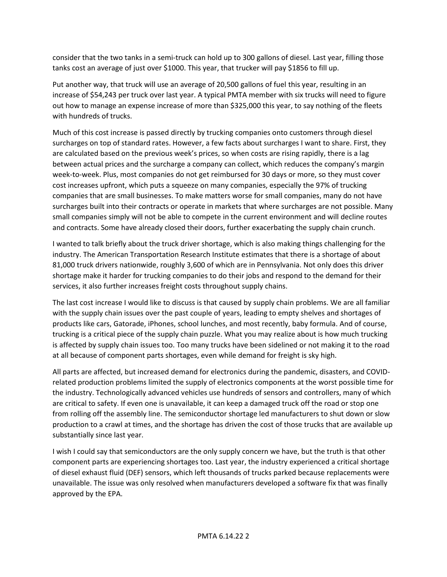consider that the two tanks in a semi-truck can hold up to 300 gallons of diesel. Last year, filling those tanks cost an average of just over \$1000. This year, that trucker will pay \$1856 to fill up.

Put another way, that truck will use an average of 20,500 gallons of fuel this year, resulting in an increase of \$54,243 per truck over last year. A typical PMTA member with six trucks will need to figure out how to manage an expense increase of more than \$325,000 this year, to say nothing of the fleets with hundreds of trucks.

Much of this cost increase is passed directly by trucking companies onto customers through diesel surcharges on top of standard rates. However, a few facts about surcharges I want to share. First, they are calculated based on the previous week's prices, so when costs are rising rapidly, there is a lag between actual prices and the surcharge a company can collect, which reduces the company's margin week-to-week. Plus, most companies do not get reimbursed for 30 days or more, so they must cover cost increases upfront, which puts a squeeze on many companies, especially the 97% of trucking companies that are small businesses. To make matters worse for small companies, many do not have surcharges built into their contracts or operate in markets that where surcharges are not possible. Many small companies simply will not be able to compete in the current environment and will decline routes and contracts. Some have already closed their doors, further exacerbating the supply chain crunch.

I wanted to talk briefly about the truck driver shortage, which is also making things challenging for the industry. The American Transportation Research Institute estimates that there is a shortage of about 81,000 truck drivers nationwide, roughly 3,600 of which are in Pennsylvania. Not only does this driver shortage make it harder for trucking companies to do their jobs and respond to the demand for their services, it also further increases freight costs throughout supply chains.

The last cost increase I would like to discuss is that caused by supply chain problems. We are all familiar with the supply chain issues over the past couple of years, leading to empty shelves and shortages of products like cars, Gatorade, iPhones, school lunches, and most recently, baby formula. And of course, trucking is a critical piece of the supply chain puzzle. What you may realize about is how much trucking is affected by supply chain issues too. Too many trucks have been sidelined or not making it to the road at all because of component parts shortages, even while demand for freight is sky high.

All parts are affected, but increased demand for electronics during the pandemic, disasters, and COVIDrelated production problems limited the supply of electronics components at the worst possible time for the industry. Technologically advanced vehicles use hundreds of sensors and controllers, many of which are critical to safety. If even one is unavailable, it can keep a damaged truck off the road or stop one from rolling off the assembly line. The semiconductor shortage led manufacturers to shut down or slow production to a crawl at times, and the shortage has driven the cost of those trucks that are available up substantially since last year.

I wish I could say that semiconductors are the only supply concern we have, but the truth is that other component parts are experiencing shortages too. Last year, the industry experienced a critical shortage of diesel exhaust fluid (DEF) sensors, which left thousands of trucks parked because replacements were unavailable. The issue was only resolved when manufacturers developed a software fix that was finally approved by the EPA.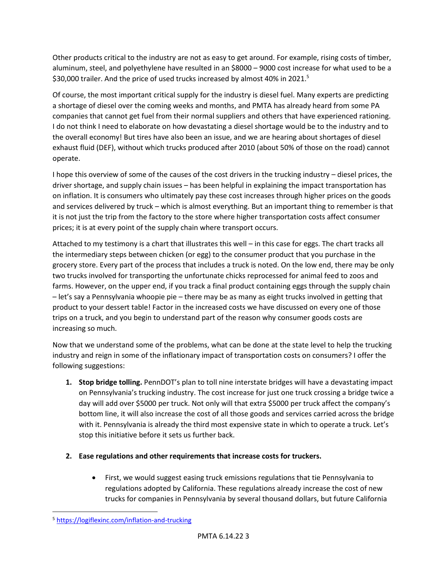Other products critical to the industry are not as easy to get around. For example, rising costs of timber, aluminum, steel, and polyethylene have resulted in an \$8000 – 9000 cost increase for what used to be a \$30,000 trailer. And the price of used trucks increased by almost 40% in 2021.<sup>5</sup>

Of course, the most important critical supply for the industry is diesel fuel. Many experts are predicting a shortage of diesel over the coming weeks and months, and PMTA has already heard from some PA companies that cannot get fuel from their normal suppliers and others that have experienced rationing. I do not think I need to elaborate on how devastating a diesel shortage would be to the industry and to the overall economy! But tires have also been an issue, and we are hearing about shortages of diesel exhaust fluid (DEF), without which trucks produced after 2010 (about 50% of those on the road) cannot operate.

I hope this overview of some of the causes of the cost drivers in the trucking industry – diesel prices, the driver shortage, and supply chain issues – has been helpful in explaining the impact transportation has on inflation. It is consumers who ultimately pay these cost increases through higher prices on the goods and services delivered by truck – which is almost everything. But an important thing to remember is that it is not just the trip from the factory to the store where higher transportation costs affect consumer prices; it is at every point of the supply chain where transport occurs.

Attached to my testimony is a chart that illustrates this well – in this case for eggs. The chart tracks all the intermediary steps between chicken (or egg) to the consumer product that you purchase in the grocery store. Every part of the process that includes a truck is noted. On the low end, there may be only two trucks involved for transporting the unfortunate chicks reprocessed for animal feed to zoos and farms. However, on the upper end, if you track a final product containing eggs through the supply chain – let's say a Pennsylvania whoopie pie – there may be as many as eight trucks involved in getting that product to your dessert table! Factor in the increased costs we have discussed on every one of those trips on a truck, and you begin to understand part of the reason why consumer goods costs are increasing so much.

Now that we understand some of the problems, what can be done at the state level to help the trucking industry and reign in some of the inflationary impact of transportation costs on consumers? I offer the following suggestions:

- **1. Stop bridge tolling.** PennDOT's plan to toll nine interstate bridges will have a devastating impact on Pennsylvania's trucking industry. The cost increase for just one truck crossing a bridge twice a day will add over \$5000 per truck. Not only will that extra \$5000 per truck affect the company's bottom line, it will also increase the cost of all those goods and services carried across the bridge with it. Pennsylvania is already the third most expensive state in which to operate a truck. Let's stop this initiative before it sets us further back.
- **2. Ease regulations and other requirements that increase costs for truckers.**
	- First, we would suggest easing truck emissions regulations that tie Pennsylvania to regulations adopted by California. These regulations already increase the cost of new trucks for companies in Pennsylvania by several thousand dollars, but future California

<sup>5</sup> <https://logiflexinc.com/inflation-and-trucking>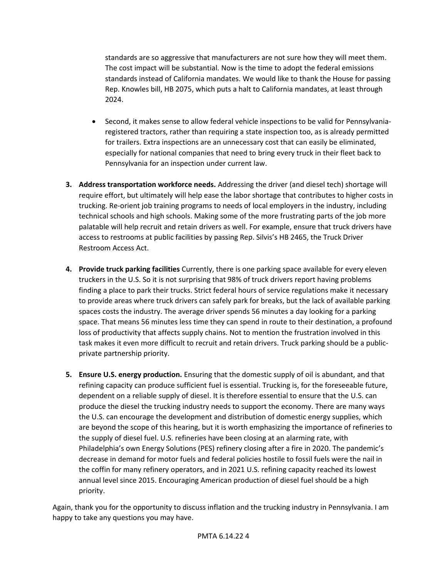standards are so aggressive that manufacturers are not sure how they will meet them. The cost impact will be substantial. Now is the time to adopt the federal emissions standards instead of California mandates. We would like to thank the House for passing Rep. Knowles bill, HB 2075, which puts a halt to California mandates, at least through 2024.

- Second, it makes sense to allow federal vehicle inspections to be valid for Pennsylvaniaregistered tractors, rather than requiring a state inspection too, as is already permitted for trailers. Extra inspections are an unnecessary cost that can easily be eliminated, especially for national companies that need to bring every truck in their fleet back to Pennsylvania for an inspection under current law.
- **3. Address transportation workforce needs.** Addressing the driver (and diesel tech) shortage will require effort, but ultimately will help ease the labor shortage that contributes to higher costs in trucking. Re-orient job training programs to needs of local employers in the industry, including technical schools and high schools. Making some of the more frustrating parts of the job more palatable will help recruit and retain drivers as well. For example, ensure that truck drivers have access to restrooms at public facilities by passing Rep. Silvis's HB 2465, the Truck Driver Restroom Access Act.
- **4. Provide truck parking facilities** Currently, there is one parking space available for every eleven truckers in the U.S. So it is not surprising that 98% of truck drivers report having problems finding a place to park their trucks. Strict federal hours of service regulations make it necessary to provide areas where truck drivers can safely park for breaks, but the lack of available parking spaces costs the industry. The average driver spends 56 minutes a day looking for a parking space. That means 56 minutes less time they can spend in route to their destination, a profound loss of productivity that affects supply chains. Not to mention the frustration involved in this task makes it even more difficult to recruit and retain drivers. Truck parking should be a publicprivate partnership priority.
- **5. Ensure U.S. energy production.** Ensuring that the domestic supply of oil is abundant, and that refining capacity can produce sufficient fuel is essential. Trucking is, for the foreseeable future, dependent on a reliable supply of diesel. It is therefore essential to ensure that the U.S. can produce the diesel the trucking industry needs to support the economy. There are many ways the U.S. can encourage the development and distribution of domestic energy supplies, which are beyond the scope of this hearing, but it is worth emphasizing the importance of refineries to the supply of diesel fuel. U.S. refineries have been closing at an alarming rate, with Philadelphia's own Energy Solutions (PES) refinery closing after a fire in 2020. The pandemic's decrease in demand for motor fuels and federal policies hostile to fossil fuels were the nail in the coffin for many refinery operators, and in 2021 U.S. refining capacity reached its lowest annual level since 2015. Encouraging American production of diesel fuel should be a high priority.

Again, thank you for the opportunity to discuss inflation and the trucking industry in Pennsylvania. I am happy to take any questions you may have.